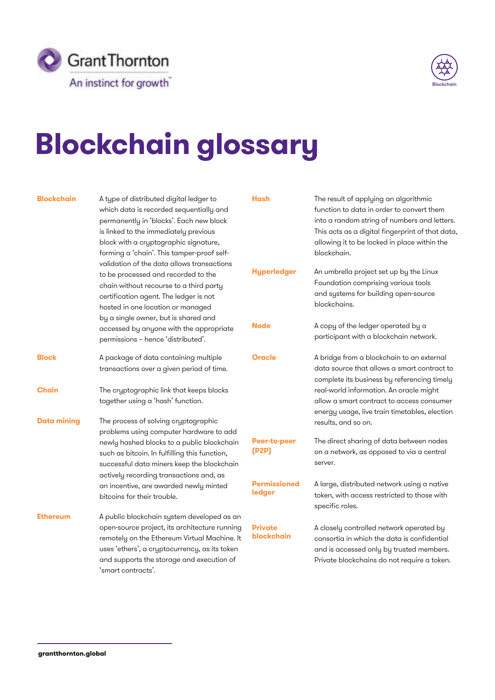



## **Blockchain glossary**

| <b>Blockchain</b>  | A type of distributed digital ledger to<br>which data is recorded sequentially and<br>permanently in 'blocks'. Each new block<br>is linked to the immediately previous<br>block with a cryptographic signature,<br>forming a 'chain'. This tamper-proof self-<br>validation of the data allows transactions<br>to be processed and recorded to the<br>chain without recourse to a third party<br>certification agent. The ledger is not<br>hosted in one location or managed<br>by a single owner, but is shared and<br>accessed by anyone with the appropriate | <b>Hash</b><br><b>Hyperledger</b><br><b>Node</b> | The result of applying an algorithmic<br>function to data in order to convert them<br>into a random string of numbers and letters.<br>This acts as a digital fingerprint of that data,<br>allowing it to be locked in place within the<br>blockchain.<br>An umbrella project set up by the Linux<br>Foundation comprising various tools<br>and systems for building open-source<br>blockchains.<br>A copy of the ledger operated by a |
|--------------------|-----------------------------------------------------------------------------------------------------------------------------------------------------------------------------------------------------------------------------------------------------------------------------------------------------------------------------------------------------------------------------------------------------------------------------------------------------------------------------------------------------------------------------------------------------------------|--------------------------------------------------|---------------------------------------------------------------------------------------------------------------------------------------------------------------------------------------------------------------------------------------------------------------------------------------------------------------------------------------------------------------------------------------------------------------------------------------|
|                    | permissions - hence 'distributed'.                                                                                                                                                                                                                                                                                                                                                                                                                                                                                                                              |                                                  | participant with a blockchain network.                                                                                                                                                                                                                                                                                                                                                                                                |
| <b>Block</b>       | A package of data containing multiple<br>transactions over a given period of time.                                                                                                                                                                                                                                                                                                                                                                                                                                                                              | <b>Oracle</b>                                    | A bridge from a blockchain to an external<br>data source that allows a smart contract to<br>complete its business by referencing timely                                                                                                                                                                                                                                                                                               |
| <b>Chain</b>       | The cryptographic link that keeps blocks<br>together using a 'hash' function.                                                                                                                                                                                                                                                                                                                                                                                                                                                                                   |                                                  | real-world information. An oracle might<br>allow a smart contract to access consumer<br>energy usage, live train timetables, election                                                                                                                                                                                                                                                                                                 |
| <b>Data mining</b> | The process of solving cryptographic<br>problems using computer hardware to add                                                                                                                                                                                                                                                                                                                                                                                                                                                                                 |                                                  | results, and so on.                                                                                                                                                                                                                                                                                                                                                                                                                   |
|                    | newly hashed blocks to a public blockchain<br>such as bitcoin. In fulfilling this function,<br>successful data miners keep the blockchain                                                                                                                                                                                                                                                                                                                                                                                                                       | <b>Peer-to-peer</b><br>(P2P)                     | The direct sharing of data between nodes<br>on a network, as opposed to via a central<br>server.                                                                                                                                                                                                                                                                                                                                      |
|                    | actively recording transactions and, as<br>an incentive, are awarded newly minted<br>bitcoins for their trouble.                                                                                                                                                                                                                                                                                                                                                                                                                                                | <b>Permissioned</b><br>ledger                    | A large, distributed network using a native<br>token, with access restricted to those with<br>specific roles.                                                                                                                                                                                                                                                                                                                         |
| <b>Ethereum</b>    | A public blockchain system developed as an<br>open-source project, its architecture running<br>remotely on the Ethereum Virtual Machine. It<br>uses 'ethers', a cryptocurrency, as its token<br>and supports the storage and execution of<br>'smart contracts'.                                                                                                                                                                                                                                                                                                 | Private<br>blockchain                            | A closely controlled network operated by<br>consortia in which the data is confidential<br>and is accessed only by trusted members.<br>Private blockchains do not require a token.                                                                                                                                                                                                                                                    |